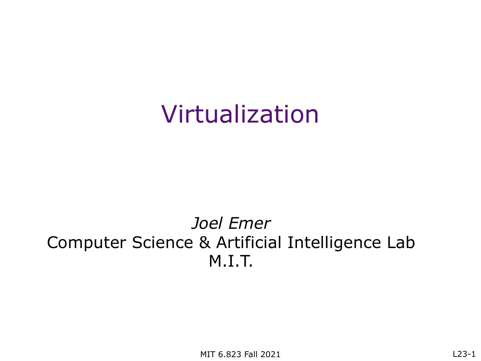#### Virtualization

#### *Joel Emer* Computer Science & Artificial Intelligence Lab M.I.T.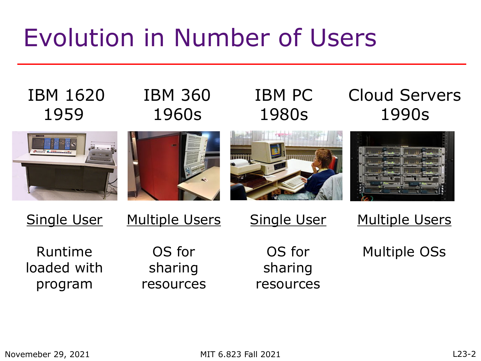#### Evolution in Number of Users

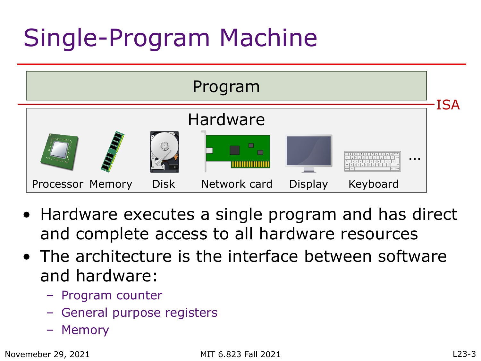## Single-Program Machine



- Hardware executes a single program and has direct and complete access to all hardware resources
- The architecture is the interface between software and hardware:
	- Program counter
	- General purpose registers
	- Memory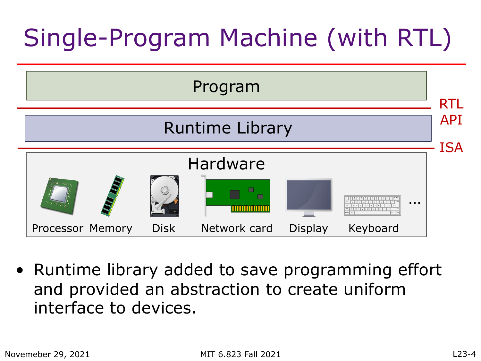# Single-Program Machine (with RTL)



• Runtime library added to save programming effort and provided an abstraction to create uniform interface to devices.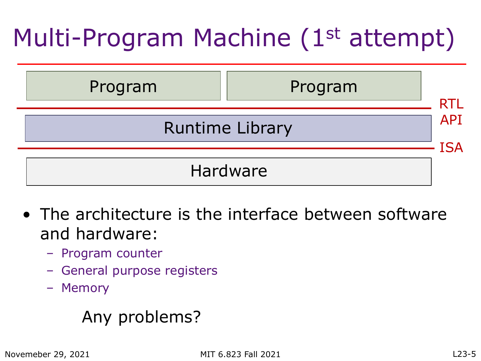## Multi-Program Machine (1<sup>st</sup> attempt)



- The architecture is the interface between software and hardware:
	- Program counter
	- General purpose registers
	- Memory

#### Any problems?

Novemeber 29, 2021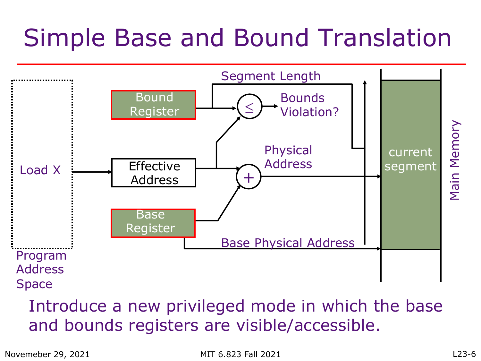#### Simple Base and Bound Translation



#### Introduce a new privileged mode in which the base and bounds registers are visible/accessible.

Novemeber 29, 2021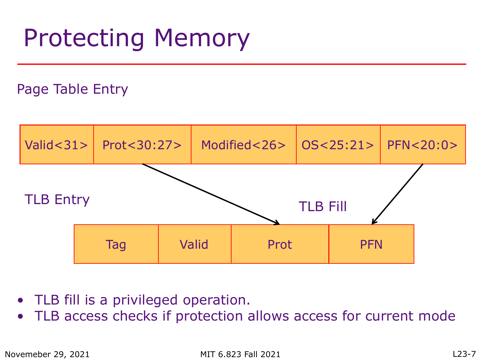#### Protecting Memory

#### Page Table Entry



- TLB fill is a privileged operation.
- TLB access checks if protection allows access for current mode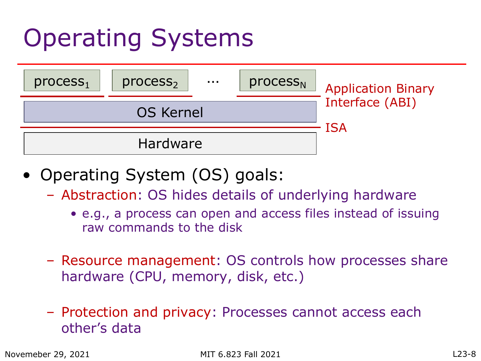## Operating Systems



- Operating System (OS) goals:
	- Abstraction: OS hides details of underlying hardware
		- e.g., a process can open and access files instead of issuing raw commands to the disk
	- Resource management: OS controls how processes share hardware (CPU, memory, disk, etc.)
	- Protection and privacy: Processes cannot access each other's data

Novemeber 29, 2021

MIT 6.823 Fall 2021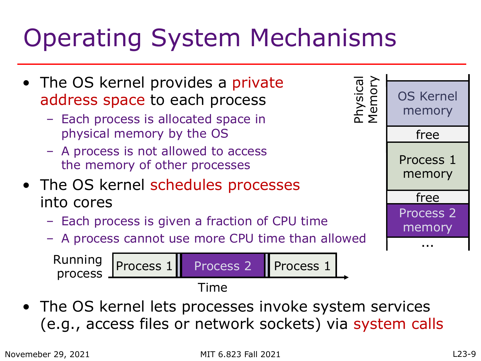## Operating System Mechanisms

- The OS kernel provides a private address space to each process
	- Each process is allocated space in physical memory by the OS
	- A process is not allowed to access the memory of other processes
- The OS kernel schedules processes into cores
	- Each process is given a fraction of CPU time
	- A process cannot use more CPU time than allowed

Running process Process 1 Process 2 Time Process 1

• The OS kernel lets processes invoke system services (e.g., access files or network sockets) via system calls

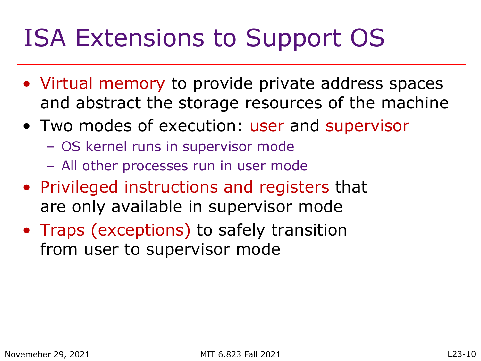#### ISA Extensions to Support OS

- Virtual memory to provide private address spaces and abstract the storage resources of the machine
- Two modes of execution: user and supervisor
	- OS kernel runs in supervisor mode
	- All other processes run in user mode
- Privileged instructions and registers that are only available in supervisor mode
- Traps (exceptions) to safely transition from user to supervisor mode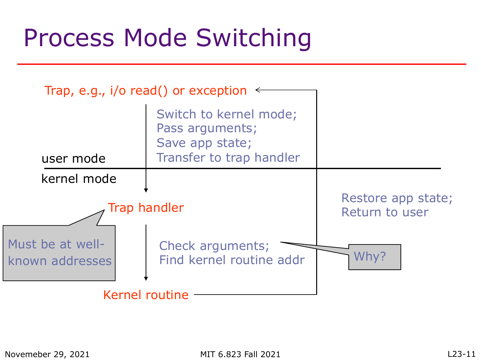#### Process Mode Switching

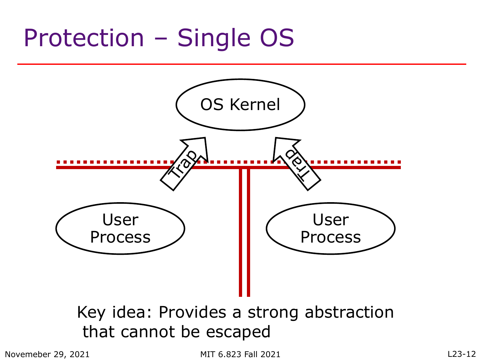#### Protection – Single OS



#### Key idea: Provides a strong abstraction that cannot be escaped

Novemeber 29, 2021

MIT 6.823 Fall 2021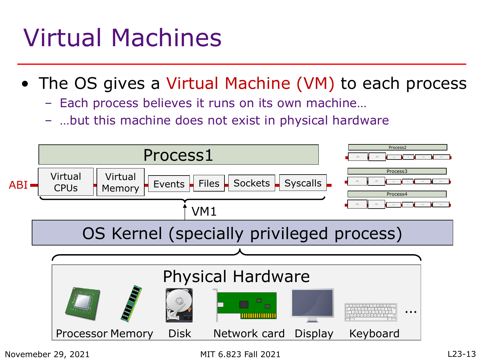### Virtual Machines

Novemeber 29, 2021

- The OS gives a Virtual Machine (VM) to each process
	- Each process believes it runs on its own machine…
	- …but this machine does not exist in physical hardware



MIT 6.823 Fall 2021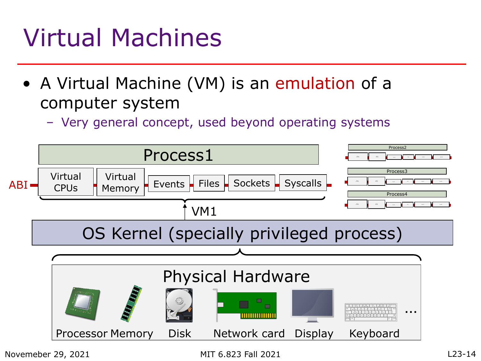### Virtual Machines

- A Virtual Machine (VM) is an emulation of a computer system
	- Very general concept, used beyond operating systems

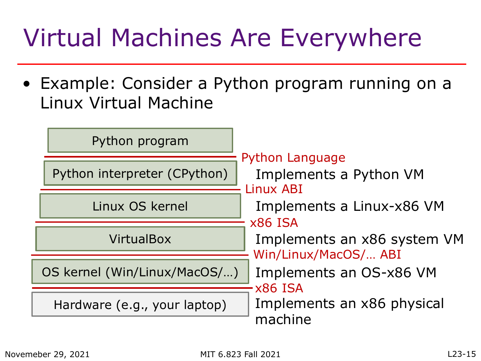## Virtual Machines Are Everywhere

• Example: Consider a Python program running on a Linux Virtual Machine

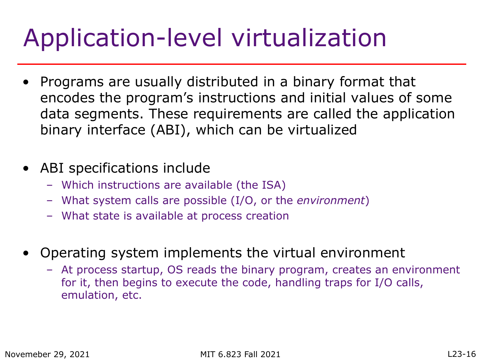## Application-level virtualization

- Programs are usually distributed in a binary format that encodes the program's instructions and initial values of some data segments. These requirements are called the application binary interface (ABI), which can be virtualized
- ABI specifications include
	- Which instructions are available (the ISA)
	- What system calls are possible (I/O, or the *environment*)
	- What state is available at process creation
- Operating system implements the virtual environment
	- At process startup, OS reads the binary program, creates an environment for it, then begins to execute the code, handling traps for I/O calls, emulation, etc.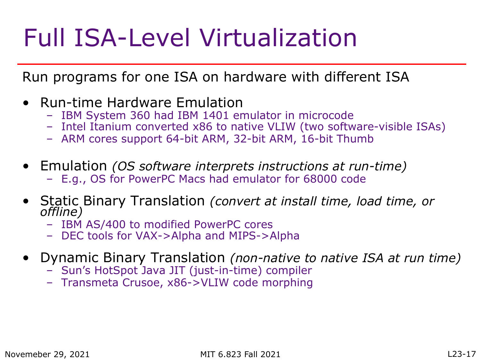### Full ISA-Level Virtualization

Run programs for one ISA on hardware with different ISA

- Run-time Hardware Emulation
	- IBM System 360 had IBM 1401 emulator in microcode
	- Intel Itanium converted x86 to native VLIW (two software-visible ISAs)
	- ARM cores support 64-bit ARM, 32-bit ARM, 16-bit Thumb
- Emulation *(OS software interprets instructions at run-time)*
	- E.g., OS for PowerPC Macs had emulator for 68000 code
- Static Binary Translation *(convert at install time, load time, or offline)*
	- IBM AS/400 to modified PowerPC cores
	- DEC tools for VAX->Alpha and MIPS->Alpha
- Dynamic Binary Translation *(non-native to native ISA at run time)*
	- Sun's HotSpot Java JIT (just-in-time) compiler
	- Transmeta Crusoe, x86->VLIW code morphing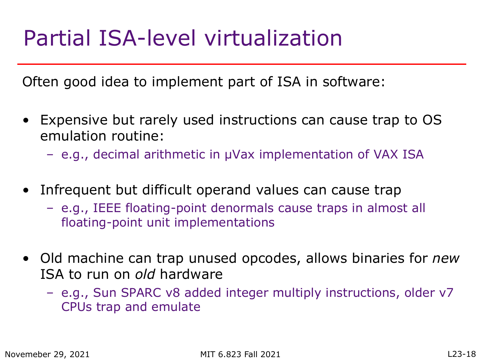#### Partial ISA-level virtualization

Often good idea to implement part of ISA in software:

- Expensive but rarely used instructions can cause trap to OS emulation routine:
	- e.g., decimal arithmetic in µVax implementation of VAX ISA
- Infrequent but difficult operand values can cause trap
	- e.g., IEEE floating-point denormals cause traps in almost all floating-point unit implementations
- Old machine can trap unused opcodes, allows binaries for *new* ISA to run on *old* hardware
	- e.g., Sun SPARC v8 added integer multiply instructions, older v7 CPUs trap and emulate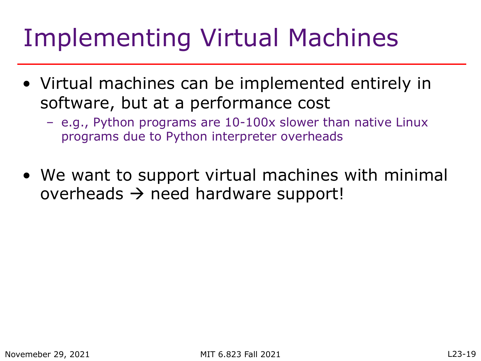#### Implementing Virtual Machines

- Virtual machines can be implemented entirely in software, but at a performance cost
	- e.g., Python programs are 10-100x slower than native Linux programs due to Python interpreter overheads
- We want to support virtual machines with minimal overheads  $\rightarrow$  need hardware support!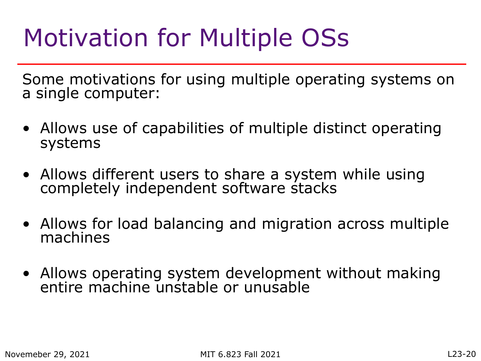### Motivation for Multiple OSs

Some motivations for using multiple operating systems on a single computer:

- Allows use of capabilities of multiple distinct operating systems
- Allows different users to share a system while using completely independent software stacks
- Allows for load balancing and migration across multiple machines
- Allows operating system development without making entire machine unstable or unusable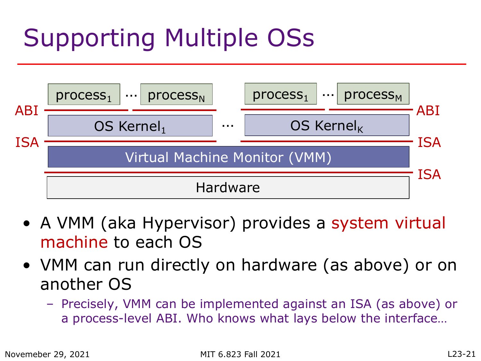# Supporting Multiple OSs



- A VMM (aka Hypervisor) provides a system virtual machine to each OS
- VMM can run directly on hardware (as above) or on another OS
	- Precisely, VMM can be implemented against an ISA (as above) or a process-level ABI. Who knows what lays below the interface…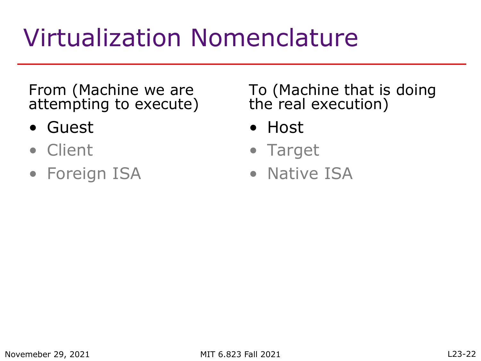## Virtualization Nomenclature

From (Machine we are attempting to execute)

- Guest
- Client
- Foreign ISA

To (Machine that is doing the real execution)

- Host
- Target
- Native ISA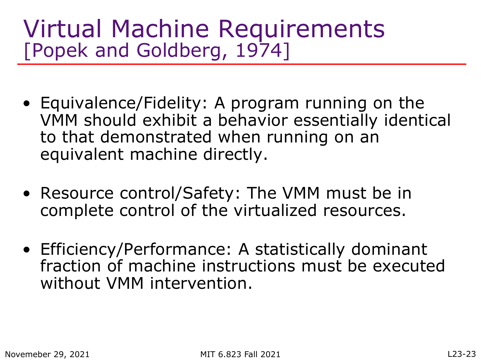#### Virtual Machine Requirements [Popek and Goldberg, 1974]

- Equivalence/Fidelity: A program running on the VMM should exhibit a behavior essentially identical to that demonstrated when running on an equivalent machine directly.
- Resource control/Safety: The VMM must be in complete control of the virtualized resources.
- Efficiency/Performance: A statistically dominant fraction of machine instructions must be executed without VMM intervention.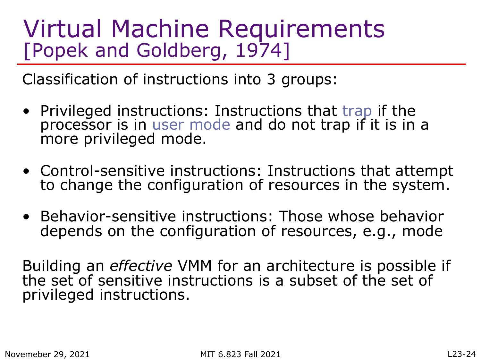#### Virtual Machine Requirements [Popek and Goldberg, 1974]

Classification of instructions into 3 groups:

- Privileged instructions: Instructions that trap if the processor is in user mode and do not trap if it is in a more privileged mode.
- Control-sensitive instructions: Instructions that attempt to change the configuration of resources in the system.
- Behavior-sensitive instructions: Those whose behavior depends on the configuration of resources, e.g., mode

Building an *effective* VMM for an architecture is possible if the set of sensitive instructions is a subset of the set of privileged instructions.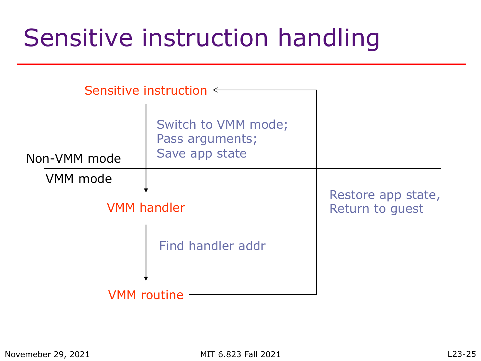#### Sensitive instruction handling

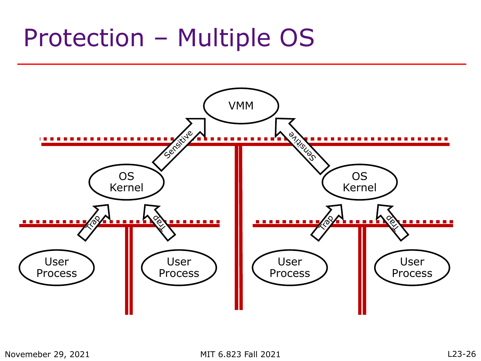#### Protection – Multiple OS

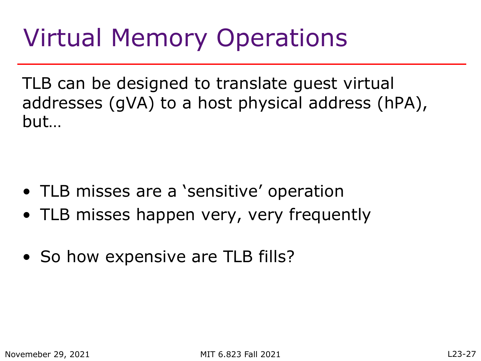#### Virtual Memory Operations

TLB can be designed to translate guest virtual addresses (gVA) to a host physical address (hPA), but…

- TLB misses are a 'sensitive' operation
- TLB misses happen very, very frequently
- So how expensive are TLB fills?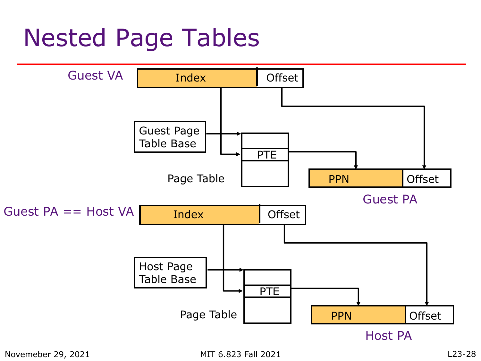#### Nested Page Tables

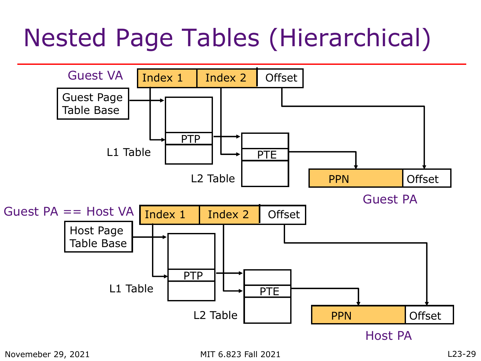### Nested Page Tables (Hierarchical)

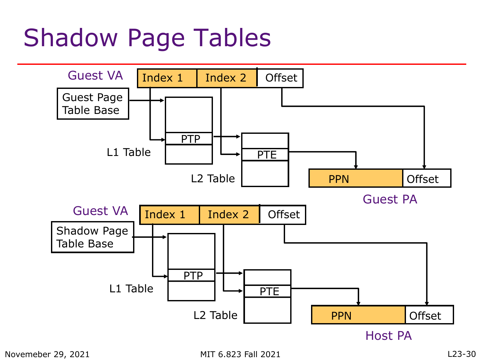#### Shadow Page Tables

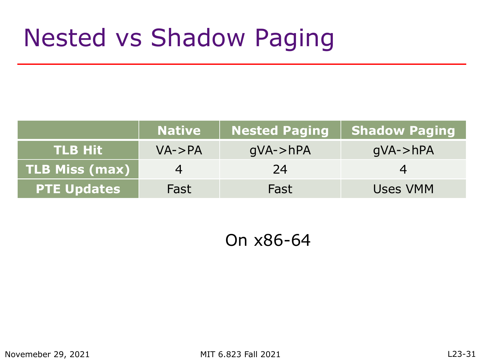#### Nested vs Shadow Paging

|                       | <b>Native</b> | <b>Nested Paging</b> | <b>Shadow Paging</b> |
|-----------------------|---------------|----------------------|----------------------|
| $\sf TLB$ Hit $\sf V$ | $VA$ ->PA     | $qVA$ ->hPA          | $qVA$ ->hPA          |
| <b>TLB Miss (max)</b> |               | 24                   |                      |
| <b>PTE Updates</b>    | Fast          | Fast                 | Uses VMM             |

On x86-64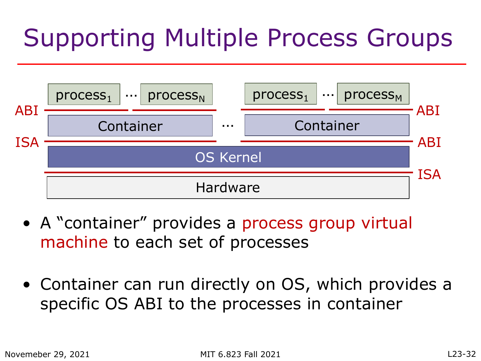# Supporting Multiple Process Groups



- A "container" provides a process group virtual machine to each set of processes
- Container can run directly on OS, which provides a specific OS ABI to the processes in container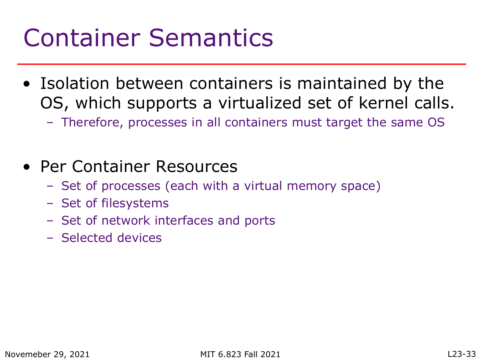#### Container Semantics

- Isolation between containers is maintained by the OS, which supports a virtualized set of kernel calls.
	- Therefore, processes in all containers must target the same OS
- Per Container Resources
	- Set of processes (each with a virtual memory space)
	- Set of filesystems
	- Set of network interfaces and ports
	- Selected devices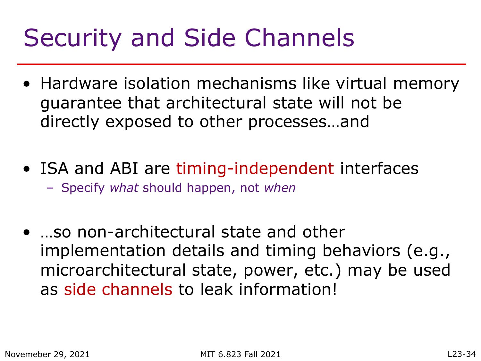#### Security and Side Channels

- Hardware isolation mechanisms like virtual memory guarantee that architectural state will not be directly exposed to other processes…and
- ISA and ABI are timing-independent interfaces
	- Specify *what* should happen, not *when*
- …so non-architectural state and other implementation details and timing behaviors (e.g., microarchitectural state, power, etc.) may be used as side channels to leak information!